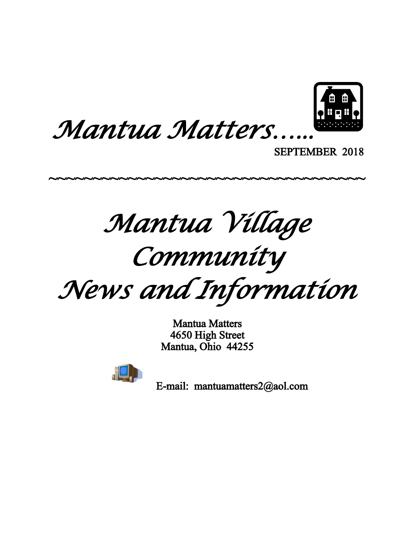



SEPTEMBER 2018

*Mantua Village*

~~~~~~~~~~~~~~~~~~~~~~~~~~~~~~~~~~~~~~

# *Community*

*News and Information*

Mantua Matters 4650 High Street Mantua, Ohio 44255



E-mail: mantuamatters2@aol.com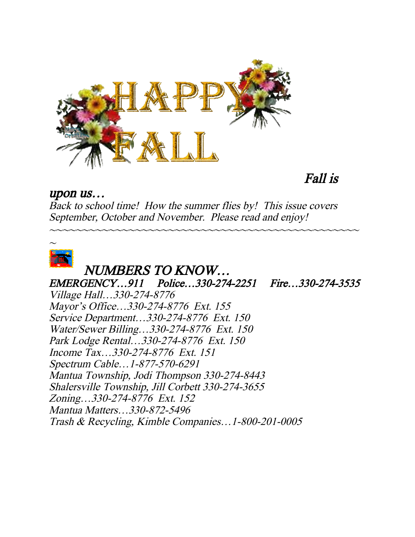

Fall is

## upon us…

Back to school time! How the summer flies by! This issue covers September, October and November. Please read and enjoy!

~~~~~~~~~~~~~~~~~~~~~~~~~~~~~~~~~~~~~~~~~~~~~~~



## NUMBERS TO KNOW…

EMERGENCY…911 Police…330-274-2251 Fire…330-274-3535 Village Hall…330-274-8776 Mayor's Office…330-274-8776 Ext. 155 Service Department…330-274-8776 Ext. 150 Water/Sewer Billing…330-274-8776 Ext. 150 Park Lodge Rental…330-274-8776 Ext. 150 Income Tax…330-274-8776 Ext. 151 Spectrum Cable…1-877-570-6291 Mantua Township, Jodi Thompson 330-274-8443 Shalersville Township, Jill Corbett 330-274-3655 Zoning…330-274-8776 Ext. 152 Mantua Matters…330-872-5496 Trash & Recycling, Kimble Companies…1-800-201-0005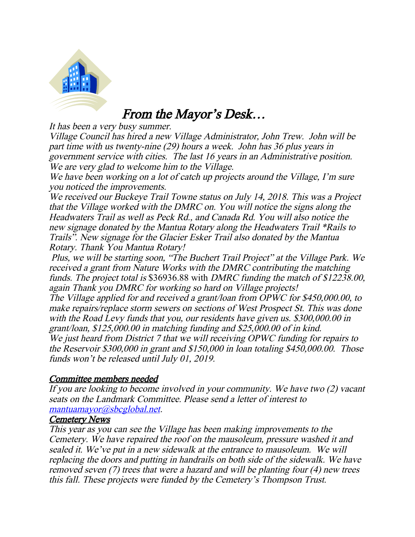

# From the Mayor's Desk…

It has been a very busy summer.

Village Council has hired a new Village Administrator, John Trew. John will be part time with us twenty-nine (29) hours a week. John has 36 plus years in government service with cities. The last 16 years in an Administrative position. We are very glad to welcome him to the Village.

We have been working on a lot of catch up projects around the Village, I'm sure you noticed the improvements.

We received our Buckeye Trail Towne status on July 14, 2018. This was a Project that the Village worked with the DMRC on. You will notice the signs along the Headwaters Trail as well as Peck Rd., and Canada Rd. You will also notice the new signage donated by the Mantua Rotary along the Headwaters Trail \*Rails to Trails". New signage for the Glacier Esker Trail also donated by the Mantua Rotary. Thank You Mantua Rotary!

 Plus, we will be starting soon, "The Buchert Trail Project" at the Village Park. We received a grant from Nature Works with the DMRC contributing the matching funds. The project total is \$36936.88 with DMRC funding the match of \$12238.00, again Thank you DMRC for working so hard on Village projects! The Village applied for and received a grant/loan from OPWC for \$450,000.00, to make repairs/replace storm sewers on sections of West Prospect St. This was done with the Road Levy funds that you, our residents have given us. \$300,000.00 in grant/loan, \$125,000.00 in matching funding and \$25,000.00 of in kind. We just heard from District 7 that we will receiving OPWC funding for repairs to the Reservoir \$300,000 in grant and \$150,000 in loan totaling \$450,000.00. Those funds won't be released until July 01, 2019.

## Committee members needed

If you are looking to become involved in your community. We have two (2) vacant seats on the Landmark Committee. Please send a letter of interest to [mantuamayor@sbcglobal.net](mailto:mantuamayor@sbcglobal.net).

#### Cemetery News

This year as you can see the Village has been making improvements to the Cemetery. We have repaired the roof on the mausoleum, pressure washed it and sealed it. We've put in a new sidewalk at the entrance to mausoleum. We will replacing the doors and putting in handrails on both side of the sidewalk. We have removed seven (7) trees that were a hazard and will be planting four (4) new trees this fall. These projects were funded by the Cemetery's Thompson Trust.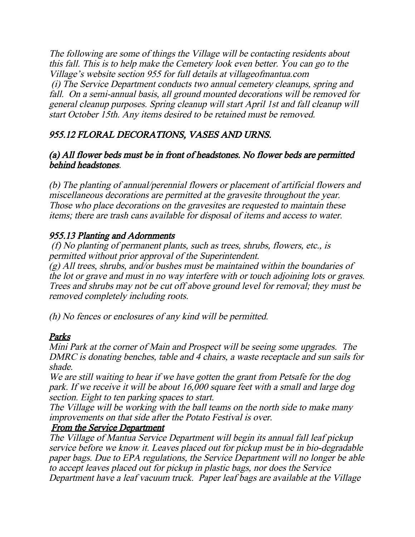The following are some of things the Village will be contacting residents about this fall. This is to help make the Cemetery look even better. You can go to the Village's website section 955 for full details at villageofmantua.com (i) The Service Department conducts two annual cemetery cleanups, spring and fall. On a semi-annual basis, all ground mounted decorations will be removed for general cleanup purposes. Spring cleanup will start April 1st and fall cleanup will start October 15th. Any items desired to be retained must be removed.

## 955.12 FLORAL DECORATIONS, VASES AND URNS.

#### (a) All flower beds must be in front of headstones. No flower beds are permitted behind headstones.

(b) The planting of annual/perennial flowers or placement of artificial flowers and miscellaneous decorations are permitted at the gravesite throughout the year. Those who place decorations on the gravesites are requested to maintain these items; there are trash cans available for disposal of items and access to water.

## 955.13 Planting and Adornments

 (f) No planting of permanent plants, such as trees, shrubs, flowers, etc., is permitted without prior approval of the Superintendent.

 $(g)$  All trees, shrubs, and/or bushes must be maintained within the boundaries of the lot or grave and must in no way interfere with or touch adjoining lots or graves. Trees and shrubs may not be cut off above ground level for removal; they must be removed completely including roots.

(h) No fences or enclosures of any kind will be permitted.

## Parks

Mini Park at the corner of Main and Prospect will be seeing some upgrades. The DMRC is donating benches, table and 4 chairs, a waste receptacle and sun sails for shade.

We are still waiting to hear if we have gotten the grant from Petsafe for the dog park. If we receive it will be about 16,000 square feet with a small and large dog section. Eight to ten parking spaces to start.

The Village will be working with the ball teams on the north side to make many improvements on that side after the Potato Festival is over.

## From the Service Department

The Village of Mantua Service Department will begin its annual fall leaf pickup service before we know it. Leaves placed out for pickup must be in bio-degradable paper bags. Due to EPA regulations, the Service Department will no longer be able to accept leaves placed out for pickup in plastic bags, nor does the Service Department have a leaf vacuum truck. Paper leaf bags are available at the Village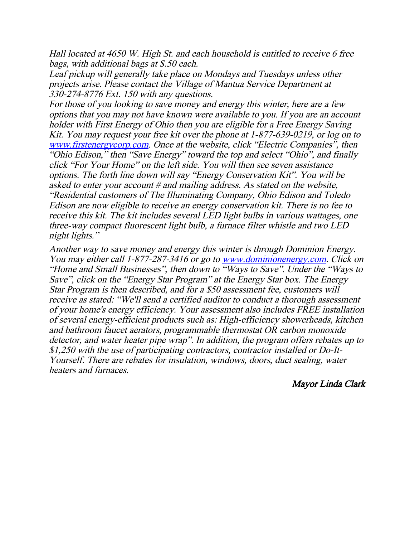Hall located at 4650 W. High St. and each household is entitled to receive 6 free bags, with additional bags at \$.50 each.

Leaf pickup will generally take place on Mondays and Tuesdays unless other projects arise. Please contact the Village of Mantua Service Department at 330-274-8776 Ext. 150 with any questions.

For those of you looking to save money and energy this winter, here are a few options that you may not have known were available to you. If you are an account holder with First Energy of Ohio then you are eligible for a Free Energy Saving Kit. You may request your free kit over the phone at 1-877-639-0219, or log on to [www.firstenergycorp.com](http://www.firstenergycorp.com/). Once at the website, click "Electric Companies", then "Ohio Edison," then "Save Energy" toward the top and select "Ohio", and finally click "For Your Home" on the left side. You will then see seven assistance options. The forth line down will say "Energy Conservation Kit". You will be asked to enter your account # and mailing address. As stated on the website, "Residential customers of The Illuminating Company, Ohio Edison and Toledo Edison are now eligible to receive an energy conservation kit. There is no fee to receive this kit. The kit includes several LED light bulbs in various wattages, one three-way compact fluorescent light bulb, a furnace filter whistle and two LED night lights."

Another way to save money and energy this winter is through Dominion Energy. You may either call 1-877-287-3416 or go to [www.dominionenergy.com](http://www.dominionenergy.com/). Click on "Home and Small Businesses", then down to "Ways to Save". Under the "Ways to Save", click on the "Energy Star Program" at the Energy Star box. The Energy Star Program is then described, and for a \$50 assessment fee, customers will receive as stated: "We'll send a certified auditor to conduct a thorough assessment of your home's energy efficiency. Your assessment also includes FREE installation of several energy-efficient products such as: High-efficiency showerheads, kitchen and bathroom faucet aerators, programmable thermostat OR carbon monoxide detector, and water heater pipe wrap". In addition, the program offers rebates up to \$1,250 with the use of participating contractors, contractor installed or Do-It-Yourself. There are rebates for insulation, windows, doors, duct sealing, water heaters and furnaces.

#### Mayor Linda Clark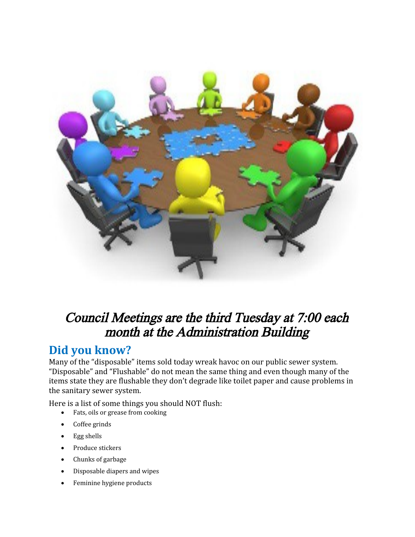

# Council Meetings are the third Tuesday at 7:00 each month at the Administration Building

## **Did you know?**

Many of the "disposable" items sold today wreak havoc on our public sewer system. "Disposable" and "Flushable" do not mean the same thing and even though many of the items state they are flushable they don't degrade like toilet paper and cause problems in the sanitary sewer system.

Here is a list of some things you should NOT flush:

- Fats, oils or grease from cooking
- Coffee grinds
- $\bullet$  Egg shells
- Produce stickers
- Chunks of garbage
- Disposable diapers and wipes
- Feminine hygiene products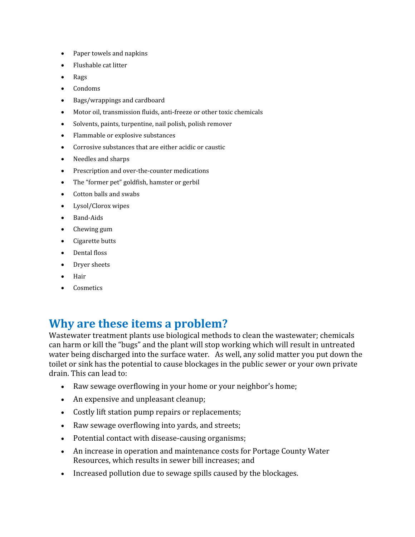- Paper towels and napkins
- Flushable cat litter
- Rags
- Condoms
- Bags/wrappings and cardboard
- Motor oil, transmission fluids, anti-freeze or other toxic chemicals
- Solvents, paints, turpentine, nail polish, polish remover
- Flammable or explosive substances
- Corrosive substances that are either acidic or caustic
- Needles and sharps
- Prescription and over-the-counter medications
- The "former pet" goldfish, hamster or gerbil
- Cotton balls and swabs
- Lysol/Clorox wipes
- Band-Aids
- Chewing gum
- Cigarette butts
- Dental floss
- Dryer sheets
- Hair
- Cosmetics

## **Why are these items a problem?**

Wastewater treatment plants use biological methods to clean the wastewater; chemicals can harm or kill the "bugs" and the plant will stop working which will result in untreated water being discharged into the surface water. As well, any solid matter you put down the toilet or sink has the potential to cause blockages in the public sewer or your own private drain. This can lead to:

- Raw sewage overflowing in your home or your neighbor's home;
- An expensive and unpleasant cleanup;
- Costly lift station pump repairs or replacements;
- Raw sewage overflowing into yards, and streets;
- Potential contact with disease-causing organisms;
- An increase in operation and maintenance costs for Portage County Water Resources, which results in sewer bill increases; and
- Increased pollution due to sewage spills caused by the blockages.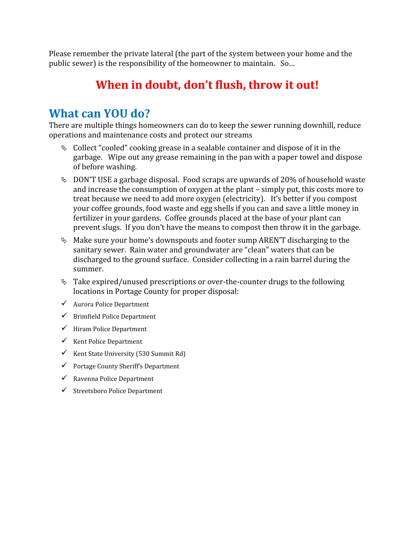Please remember the private lateral (the part of the system between your home and the public sewer) is the responsibility of the homeowner to maintain. So…

## **When in doubt, don't flush, throw it out!**

## **What can YOU do?**

There are multiple things homeowners can do to keep the sewer running downhill, reduce operations and maintenance costs and protect our streams

- $\&$  Collect "cooled" cooking grease in a sealable container and dispose of it in the garbage. Wipe out any grease remaining in the pan with a paper towel and dispose of before washing.
- $\&$  DON'T USE a garbage disposal. Food scraps are upwards of 20% of household waste and increase the consumption of oxygen at the plant – simply put, this costs more to treat because we need to add more oxygen (electricity). It's better if you compost your coffee grounds, food waste and egg shells if you can and save a little money in fertilizer in your gardens. Coffee grounds placed at the base of your plant can prevent slugs. If you don't have the means to compost then throw it in the garbage.
- $\&$  Make sure your home's downspouts and footer sump AREN'T discharging to the sanitary sewer. Rain water and groundwater are "clean" waters that can be discharged to the ground surface. Consider collecting in a rain barrel during the summer.
- $\%$  Take expired/unused prescriptions or over-the-counter drugs to the following locations in Portage County for proper disposal:
- $\checkmark$  Aurora Police Department
- $\checkmark$  Brimfield Police Department
- $\checkmark$  Hiram Police Department
- $\checkmark$  Kent Police Department
- Kent State University (530 Summit Rd)
- $\checkmark$  Portage County Sheriff's Department
- $\checkmark$  Ravenna Police Department
- $\checkmark$  Streetsboro Police Department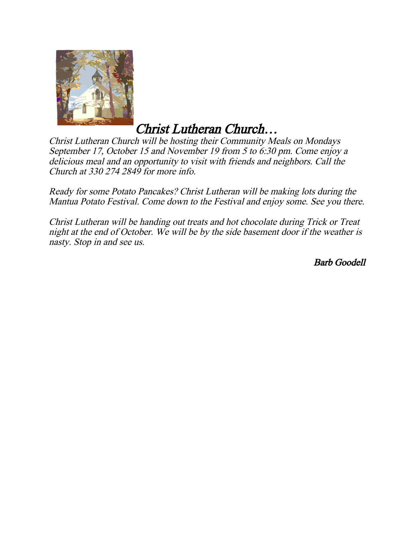

## Christ Lutheran Church…

Christ Lutheran Church will be hosting their Community Meals on Mondays September 17, October 15 and November 19 from 5 to 6:30 pm. Come enjoy a delicious meal and an opportunity to visit with friends and neighbors. Call the Church at 330 274 2849 for more info.

Ready for some Potato Pancakes? Christ Lutheran will be making lots during the Mantua Potato Festival. Come down to the Festival and enjoy some. See you there.

Christ Lutheran will be handing out treats and hot chocolate during Trick or Treat night at the end of October. We will be by the side basement door if the weather is nasty. Stop in and see us.

Barb Goodell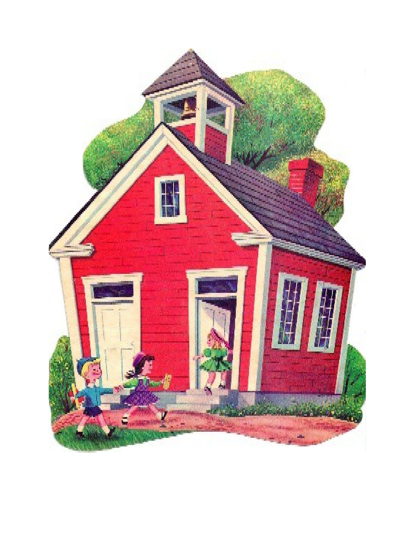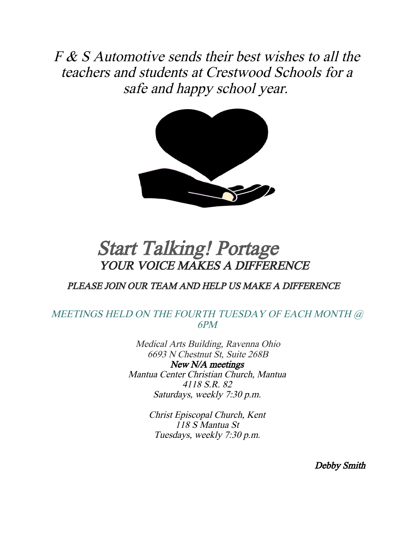F & S Automotive sends their best wishes to all the teachers and students at Crestwood Schools for a safe and happy school year.



# Start Talking! Portage YOUR VOICE MAKES A DIFFERENCE

## PLEASE JOIN OUR TEAM AND HELP US MAKE A DIFFERENCE

#### MEETINGS HELD ON THE FOURTH TUESDAY OF EACH MONTH @ 6PM

Medical Arts Building, Ravenna Ohio 6693 N Chestnut St, Suite 268B New N/A meetings Mantua Center Christian Church, Mantua 4118 S.R. 82 Saturdays, weekly 7:30 p.m.

> Christ Episcopal Church, Kent 118 S Mantua St Tuesdays, weekly 7:30 p.m.

> > Debby Smith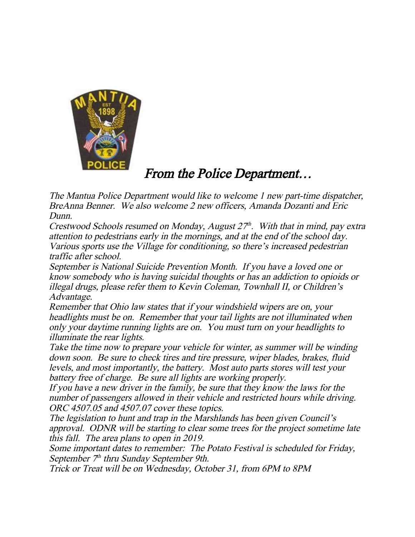

# From the Police Department…

The Mantua Police Department would like to welcome 1 new part-time dispatcher, BreAnna Benner. We also welcome 2 new officers, Amanda Dozanti and Eric Dunn.

Crestwood Schools resumed on Monday, August  $27<sup>th</sup>$ . With that in mind, pay extra attention to pedestrians early in the mornings, and at the end of the school day. Various sports use the Village for conditioning, so there's increased pedestrian traffic after school.

September is National Suicide Prevention Month. If you have a loved one or know somebody who is having suicidal thoughts or has an addiction to opioids or illegal drugs, please refer them to Kevin Coleman, Townhall II, or Children's Advantage.

Remember that Ohio law states that if your windshield wipers are on, your headlights must be on. Remember that your tail lights are not illuminated when only your daytime running lights are on. You must turn on your headlights to illuminate the rear lights.

Take the time now to prepare your vehicle for winter, as summer will be winding down soon. Be sure to check tires and tire pressure, wiper blades, brakes, fluid levels, and most importantly, the battery. Most auto parts stores will test your battery free of charge. Be sure all lights are working properly.

If you have a new driver in the family, be sure that they know the laws for the number of passengers allowed in their vehicle and restricted hours while driving. ORC 4507.05 and 4507.07 cover these topics.

The legislation to hunt and trap in the Marshlands has been given Council's approval. ODNR will be starting to clear some trees for the project sometime late this fall. The area plans to open in 2019.

Some important dates to remember: The Potato Festival is scheduled for Friday, September 7th thru Sunday September 9th.

Trick or Treat will be on Wednesday, October 31, from 6PM to 8PM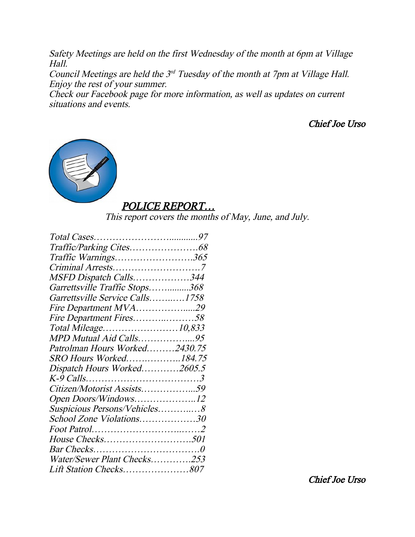Safety Meetings are held on the first Wednesday of the month at 6pm at Village Hall.

Council Meetings are held the  $3<sup>rd</sup>$  Tuesday of the month at 7pm at Village Hall. Enjoy the rest of your summer.

Check our Facebook page for more information, as well as updates on current situations and events.

Chief Joe Urso



## POLICE REPORT…

This report covers the months of May, June, and July.

| Traffic Warnings365             |  |
|---------------------------------|--|
|                                 |  |
| MSFD Dispatch Calls344          |  |
| Garrettsville Traffic Stops368  |  |
| Garrettsville Service Calls1758 |  |
| Fire Department MVA29           |  |
| Fire Department Fires58         |  |
| Total Mileage10,833             |  |
| MPD Mutual Aid Calls95          |  |
| Patrolman Hours Worked2430.75   |  |
| SRO Hours Worked184.75          |  |
| Dispatch Hours Worked2605.5     |  |
|                                 |  |
| Citizen/Motorist Assists59      |  |
| Open Doors/Windows12            |  |
| Suspicious Persons/Vehicles8    |  |
| School Zone Violations30        |  |
|                                 |  |
|                                 |  |
|                                 |  |
| Water/Sewer Plant Checks253     |  |
| Lift Station Checks807          |  |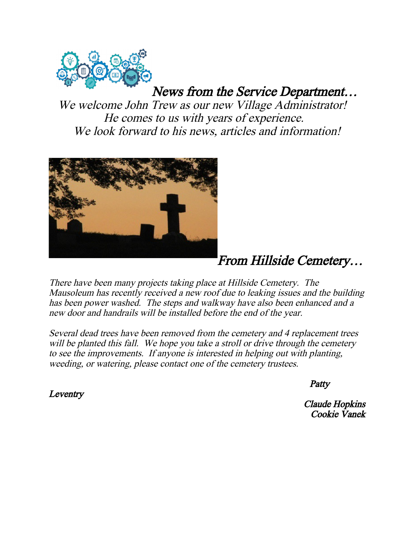

News from the Service Department…

We welcome John Trew as our new Village Administrator! He comes to us with years of experience. We look forward to his news, articles and information!



# From Hillside Cemetery…

There have been many projects taking place at Hillside Cemetery. The Mausoleum has recently received a new roof due to leaking issues and the building has been power washed. The steps and walkway have also been enhanced and a new door and handrails will be installed before the end of the year.

Several dead trees have been removed from the cemetery and 4 replacement trees will be planted this fall. We hope you take a stroll or drive through the cemetery to see the improvements. If anyone is interested in helping out with planting, weeding, or watering, please contact one of the cemetery trustees.

**Patty** 

Leventry

Claude Hopkins Cookie Vanek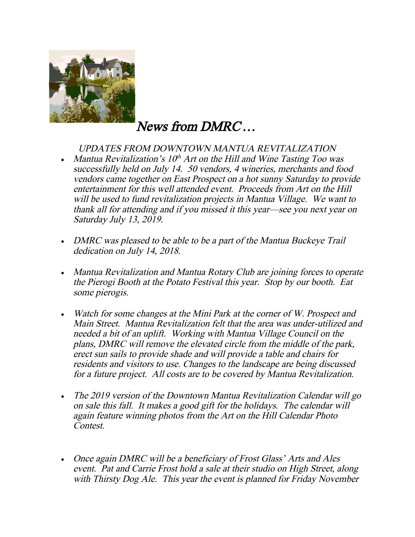

# News from DMRC…

UPDATES FROM DOWNTOWN MANTUA REVITALIZATION

- Mantua Revitalization's  $10<sup>th</sup>$  Art on the Hill and Wine Tasting Too was successfully held on July 14. 50 vendors, 4 wineries, merchants and food vendors came together on East Prospect on a hot sunny Saturday to provide entertainment for this well attended event. Proceeds from Art on the Hill will be used to fund revitalization projects in Mantua Village. We want to thank all for attending and if you missed it this year—see you next year on Saturday July 13, 2019.
- DMRC was pleased to be able to be a part of the Mantua Buckeye Trail dedication on July 14, 2018.
- Mantua Revitalization and Mantua Rotary Club are joining forces to operate the Pierogi Booth at the Potato Festival this year. Stop by our booth. Eat some pierogis.
- Watch for some changes at the Mini Park at the corner of W. Prospect and Main Street. Mantua Revitalization felt that the area was under-utilized and needed a bit of an uplift. Working with Mantua Village Council on the plans, DMRC will remove the elevated circle from the middle of the park, erect sun sails to provide shade and will provide a table and chairs for residents and visitors to use. Changes to the landscape are being discussed for a future project. All costs are to be covered by Mantua Revitalization.
- The 2019 version of the Downtown Mantua Revitalization Calendar will go on sale this fall. It makes a good gift for the holidays. The calendar will again feature winning photos from the Art on the Hill Calendar Photo Contest.
- Once again DMRC will be a beneficiary of Frost Glass' Arts and Ales event. Pat and Carrie Frost hold a sale at their studio on High Street, along with Thirsty Dog Ale. This year the event is planned for Friday November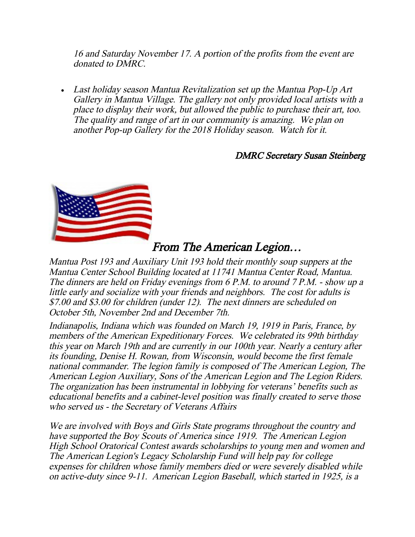16 and Saturday November 17. A portion of the profits from the event are donated to DMRC.

 Last holiday season Mantua Revitalization set up the Mantua Pop-Up Art Gallery in Mantua Village. The gallery not only provided local artists with a place to display their work, but allowed the public to purchase their art, too. The quality and range of art in our community is amazing. We plan on another Pop-up Gallery for the 2018 Holiday season. Watch for it.

#### DMRC Secretary Susan Steinberg



## From The American Legion…

Mantua Post 193 and Auxiliary Unit 193 hold their monthly soup suppers at the Mantua Center School Building located at 11741 Mantua Center Road, Mantua. The dinners are held on Friday evenings from 6 P.M. to around 7 P.M. - show up a little early and socialize with your friends and neighbors. The cost for adults is \$7.00 and \$3.00 for children (under 12). The next dinners are scheduled on October 5th, November 2nd and December 7th.

Indianapolis, Indiana which was founded on March 19, 1919 in Paris, France, by members of the American Expeditionary Forces. We celebrated its 99th birthday this year on March 19th and are currently in our 100th year. Nearly a century after its founding, Denise H. Rowan, from Wisconsin, would become the first female national commander. The legion family is composed of The American Legion, The American Legion Auxiliary, Sons of the American Legion and The Legion Riders. The organization has been instrumental in lobbying for veterans' benefits such as educational benefits and a cabinet-level position was finally created to serve those who served us - the Secretary of Veterans Affairs

We are involved with Boys and Girls State programs throughout the country and have supported the Boy Scouts of America since 1919. The American Legion High School Oratorical Contest awards scholarships to young men and women and The American Legion's Legacy Scholarship Fund will help pay for college expenses for children whose family members died or were severely disabled while on active-duty since 9-11. American Legion Baseball, which started in 1925, is a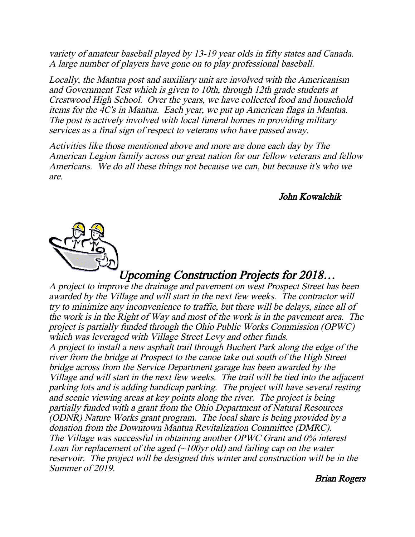variety of amateur baseball played by 13-19 year olds in fifty states and Canada. A large number of players have gone on to play professional baseball.

Locally, the Mantua post and auxiliary unit are involved with the Americanism and Government Test which is given to 10th, through 12th grade students at Crestwood High School. Over the years, we have collected food and household items for the 4C's in Mantua. Each year, we put up American flags in Mantua. The post is actively involved with local funeral homes in providing military services as a final sign of respect to veterans who have passed away.

Activities like those mentioned above and more are done each day by The American Legion family across our great nation for our fellow veterans and fellow Americans. We do all these things not because we can, but because it's who we are.

John Kowalchik



## Upcoming Construction Projects for 2018…

A project to improve the drainage and pavement on west Prospect Street has been awarded by the Village and will start in the next few weeks. The contractor will try to minimize any inconvenience to traffic, but there will be delays, since all of the work is in the Right of Way and most of the work is in the pavement area. The project is partially funded through the Ohio Public Works Commission (OPWC) which was leveraged with Village Street Levy and other funds.

A project to install a new asphalt trail through Buchert Park along the edge of the river from the bridge at Prospect to the canoe take out south of the High Street bridge across from the Service Department garage has been awarded by the Village and will start in the next few weeks. The trail will be tied into the adjacent parking lots and is adding handicap parking. The project will have several resting and scenic viewing areas at key points along the river. The project is being partially funded with a grant from the Ohio Department of Natural Resources (ODNR) Nature Works grant program. The local share is being provided by a donation from the Downtown Mantua Revitalization Committee (DMRC). The Village was successful in obtaining another OPWC Grant and 0% interest Loan for replacement of the aged  $(\sim 100$ yr old) and failing cap on the water reservoir. The project will be designed this winter and construction will be in the Summer of 2019.

Brian Rogers